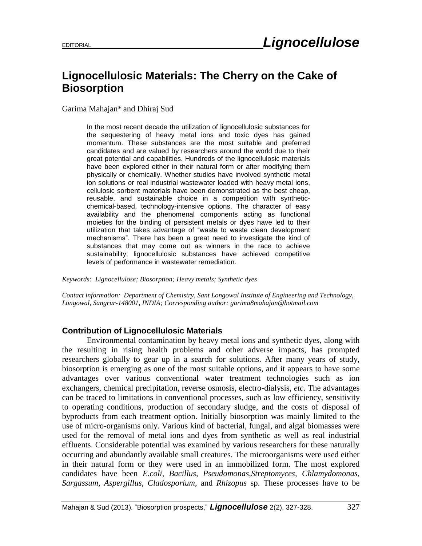## **Lignocellulosic Materials: The Cherry on the Cake of Biosorption**

Garima Mahajan\* and Dhiraj Sud

In the most recent decade the utilization of lignocellulosic substances for the sequestering of heavy metal ions and toxic dyes has gained momentum. These substances are the most suitable and preferred candidates and are valued by researchers around the world due to their great potential and capabilities. Hundreds of the lignocellulosic materials have been explored either in their natural form or after modifying them physically or chemically. Whether studies have involved synthetic metal ion solutions or real industrial wastewater loaded with heavy metal ions, cellulosic sorbent materials have been demonstrated as the best cheap, reusable, and sustainable choice in a competition with syntheticchemical-based, technology-intensive options. The character of easy availability and the phenomenal components acting as functional moieties for the binding of persistent metals or dyes have led to their utilization that takes advantage of "waste to waste clean development mechanisms". There has been a great need to investigate the kind of substances that may come out as winners in the race to achieve sustainability; lignocellulosic substances have achieved competitive levels of performance in wastewater remediation.

*Keywords: Lignocellulose; Biosorption; Heavy metals; Synthetic dyes*

*Contact information: Department of Chemistry, Sant Longowal Institute of Engineering and Technology, Longowal, Sangrur-148001, INDIA; Corresponding author: garima8mahajan@hotmail.com* 

## **Contribution of Lignocellulosic Materials**

Environmental contamination by heavy metal ions and synthetic dyes, along with the resulting in rising health problems and other adverse impacts, has prompted researchers globally to gear up in a search for solutions. After many years of study, biosorption is emerging as one of the most suitable options, and it appears to have some advantages over various conventional water treatment technologies such as ion exchangers, chemical precipitation, reverse osmosis, electro-dialysis, *etc.* The advantages can be traced to limitations in conventional processes, such as low efficiency, sensitivity to operating conditions, production of secondary sludge, and the costs of disposal of byproducts from each treatment option. Initially biosorption was mainly limited to the use of micro-organisms only. Various kind of bacterial, fungal, and algal biomasses were used for the removal of metal ions and dyes from synthetic as well as real industrial effluents. Considerable potential was examined by various researchers for these naturally occurring and abundantly available small creatures. The microorganisms were used either in their natural form or they were used in an immobilized form. The most explored candidates have been *E.coli, Bacillus, Pseudomonas,Streptomyces, Chlamydomonas, Sargassum, Aspergillus, Cladosporium*, and *Rhizopus* sp. These processes have to be